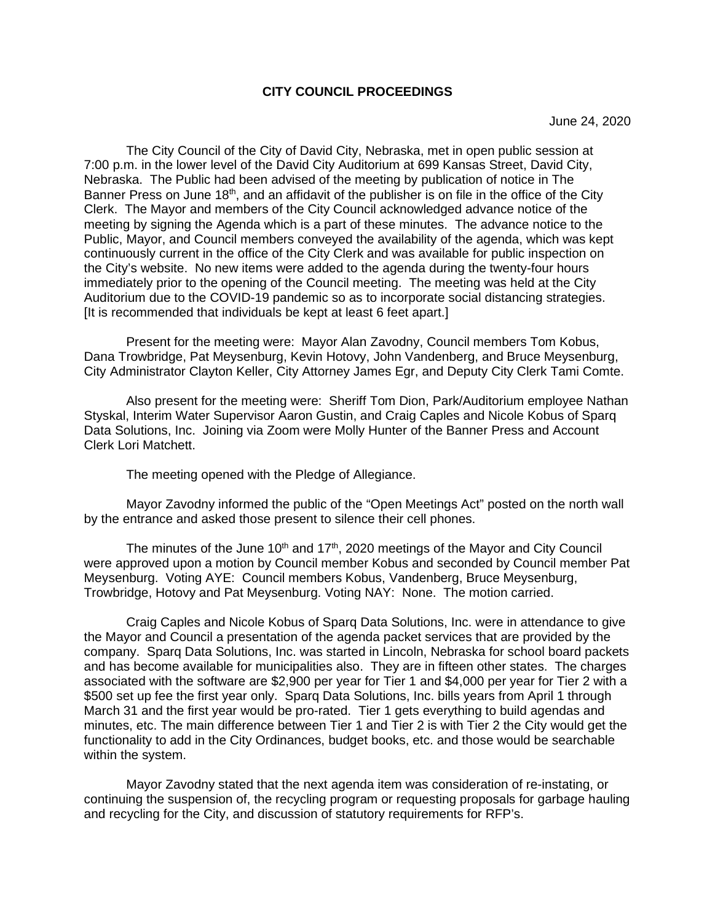## **CITY COUNCIL PROCEEDINGS**

The City Council of the City of David City, Nebraska, met in open public session at 7:00 p.m. in the lower level of the David City Auditorium at 699 Kansas Street, David City, Nebraska. The Public had been advised of the meeting by publication of notice in The Banner Press on June 18<sup>th</sup>, and an affidavit of the publisher is on file in the office of the City Clerk. The Mayor and members of the City Council acknowledged advance notice of the meeting by signing the Agenda which is a part of these minutes. The advance notice to the Public, Mayor, and Council members conveyed the availability of the agenda, which was kept continuously current in the office of the City Clerk and was available for public inspection on the City's website. No new items were added to the agenda during the twenty-four hours immediately prior to the opening of the Council meeting. The meeting was held at the City Auditorium due to the COVID-19 pandemic so as to incorporate social distancing strategies. [It is recommended that individuals be kept at least 6 feet apart.]

Present for the meeting were: Mayor Alan Zavodny, Council members Tom Kobus, Dana Trowbridge, Pat Meysenburg, Kevin Hotovy, John Vandenberg, and Bruce Meysenburg, City Administrator Clayton Keller, City Attorney James Egr, and Deputy City Clerk Tami Comte.

Also present for the meeting were: Sheriff Tom Dion, Park/Auditorium employee Nathan Styskal, Interim Water Supervisor Aaron Gustin, and Craig Caples and Nicole Kobus of Sparq Data Solutions, Inc. Joining via Zoom were Molly Hunter of the Banner Press and Account Clerk Lori Matchett.

The meeting opened with the Pledge of Allegiance.

Mayor Zavodny informed the public of the "Open Meetings Act" posted on the north wall by the entrance and asked those present to silence their cell phones.

The minutes of the June 10<sup>th</sup> and 17<sup>th</sup>, 2020 meetings of the Mayor and City Council were approved upon a motion by Council member Kobus and seconded by Council member Pat Meysenburg. Voting AYE: Council members Kobus, Vandenberg, Bruce Meysenburg, Trowbridge, Hotovy and Pat Meysenburg. Voting NAY: None. The motion carried.

Craig Caples and Nicole Kobus of Sparq Data Solutions, Inc. were in attendance to give the Mayor and Council a presentation of the agenda packet services that are provided by the company. Sparq Data Solutions, Inc. was started in Lincoln, Nebraska for school board packets and has become available for municipalities also. They are in fifteen other states. The charges associated with the software are \$2,900 per year for Tier 1 and \$4,000 per year for Tier 2 with a \$500 set up fee the first year only. Sparq Data Solutions, Inc. bills years from April 1 through March 31 and the first year would be pro-rated. Tier 1 gets everything to build agendas and minutes, etc. The main difference between Tier 1 and Tier 2 is with Tier 2 the City would get the functionality to add in the City Ordinances, budget books, etc. and those would be searchable within the system.

Mayor Zavodny stated that the next agenda item was consideration of re-instating, or continuing the suspension of, the recycling program or requesting proposals for garbage hauling and recycling for the City, and discussion of statutory requirements for RFP's.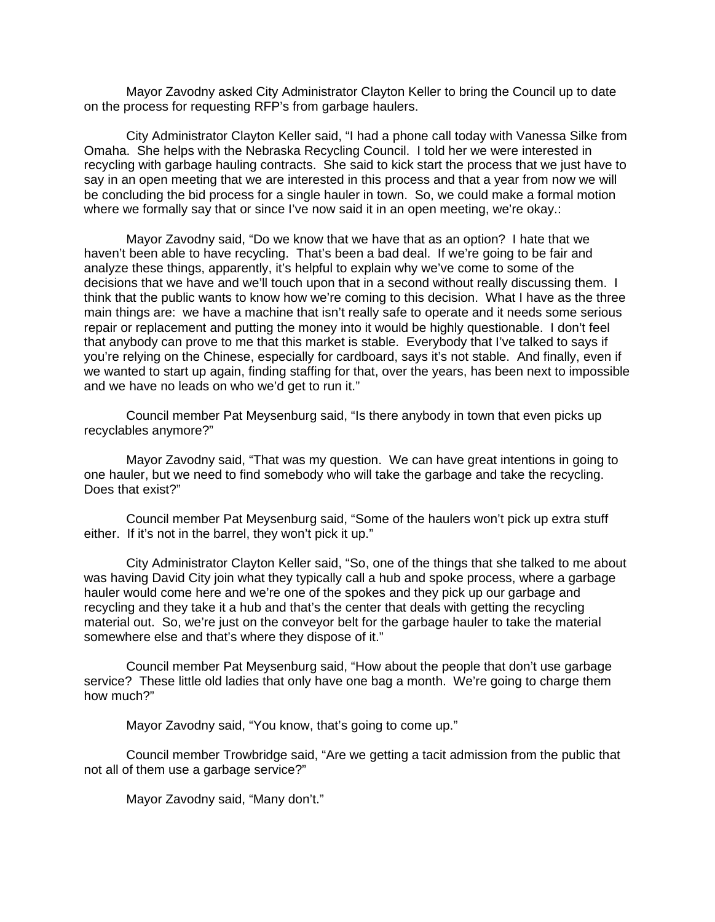Mayor Zavodny asked City Administrator Clayton Keller to bring the Council up to date on the process for requesting RFP's from garbage haulers.

City Administrator Clayton Keller said, "I had a phone call today with Vanessa Silke from Omaha. She helps with the Nebraska Recycling Council. I told her we were interested in recycling with garbage hauling contracts. She said to kick start the process that we just have to say in an open meeting that we are interested in this process and that a year from now we will be concluding the bid process for a single hauler in town. So, we could make a formal motion where we formally say that or since I've now said it in an open meeting, we're okay.:

Mayor Zavodny said, "Do we know that we have that as an option? I hate that we haven't been able to have recycling. That's been a bad deal. If we're going to be fair and analyze these things, apparently, it's helpful to explain why we've come to some of the decisions that we have and we'll touch upon that in a second without really discussing them. I think that the public wants to know how we're coming to this decision. What I have as the three main things are: we have a machine that isn't really safe to operate and it needs some serious repair or replacement and putting the money into it would be highly questionable. I don't feel that anybody can prove to me that this market is stable. Everybody that I've talked to says if you're relying on the Chinese, especially for cardboard, says it's not stable. And finally, even if we wanted to start up again, finding staffing for that, over the years, has been next to impossible and we have no leads on who we'd get to run it."

Council member Pat Meysenburg said, "Is there anybody in town that even picks up recyclables anymore?"

Mayor Zavodny said, "That was my question. We can have great intentions in going to one hauler, but we need to find somebody who will take the garbage and take the recycling. Does that exist?"

Council member Pat Meysenburg said, "Some of the haulers won't pick up extra stuff either. If it's not in the barrel, they won't pick it up."

City Administrator Clayton Keller said, "So, one of the things that she talked to me about was having David City join what they typically call a hub and spoke process, where a garbage hauler would come here and we're one of the spokes and they pick up our garbage and recycling and they take it a hub and that's the center that deals with getting the recycling material out. So, we're just on the conveyor belt for the garbage hauler to take the material somewhere else and that's where they dispose of it."

Council member Pat Meysenburg said, "How about the people that don't use garbage service? These little old ladies that only have one bag a month. We're going to charge them how much?"

Mayor Zavodny said, "You know, that's going to come up."

Council member Trowbridge said, "Are we getting a tacit admission from the public that not all of them use a garbage service?"

Mayor Zavodny said, "Many don't."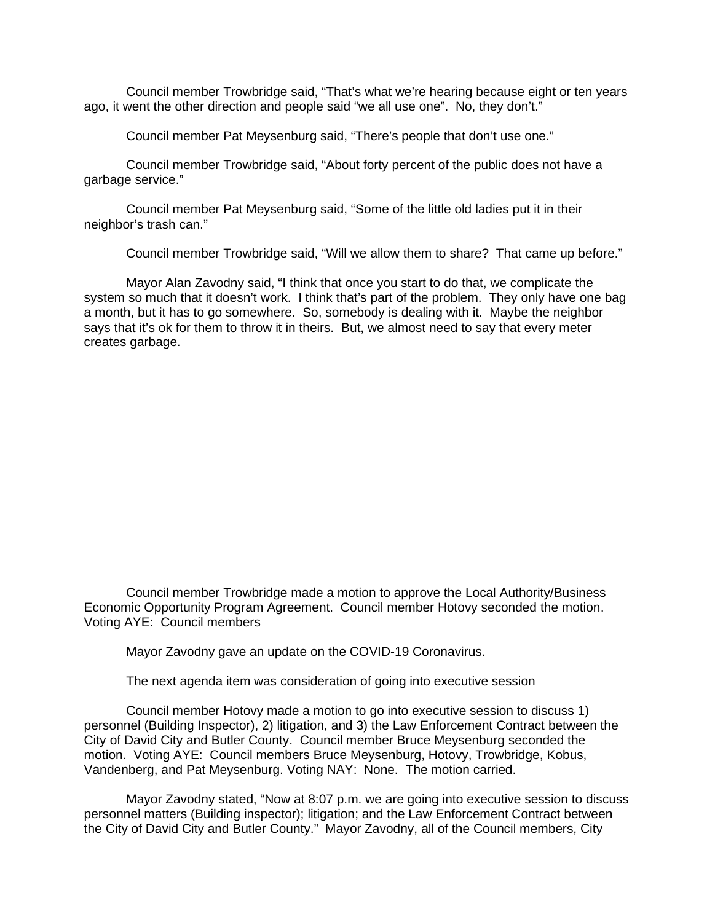Council member Trowbridge said, "That's what we're hearing because eight or ten years ago, it went the other direction and people said "we all use one". No, they don't."

Council member Pat Meysenburg said, "There's people that don't use one."

Council member Trowbridge said, "About forty percent of the public does not have a garbage service."

Council member Pat Meysenburg said, "Some of the little old ladies put it in their neighbor's trash can."

Council member Trowbridge said, "Will we allow them to share? That came up before."

Mayor Alan Zavodny said, "I think that once you start to do that, we complicate the system so much that it doesn't work. I think that's part of the problem. They only have one bag a month, but it has to go somewhere. So, somebody is dealing with it. Maybe the neighbor says that it's ok for them to throw it in theirs. But, we almost need to say that every meter creates garbage.

Council member Trowbridge made a motion to approve the Local Authority/Business Economic Opportunity Program Agreement. Council member Hotovy seconded the motion. Voting AYE: Council members

Mayor Zavodny gave an update on the COVID-19 Coronavirus.

The next agenda item was consideration of going into executive session

Council member Hotovy made a motion to go into executive session to discuss 1) personnel (Building Inspector), 2) litigation, and 3) the Law Enforcement Contract between the City of David City and Butler County. Council member Bruce Meysenburg seconded the motion. Voting AYE: Council members Bruce Meysenburg, Hotovy, Trowbridge, Kobus, Vandenberg, and Pat Meysenburg. Voting NAY: None. The motion carried.

Mayor Zavodny stated, "Now at 8:07 p.m. we are going into executive session to discuss personnel matters (Building inspector); litigation; and the Law Enforcement Contract between the City of David City and Butler County." Mayor Zavodny, all of the Council members, City